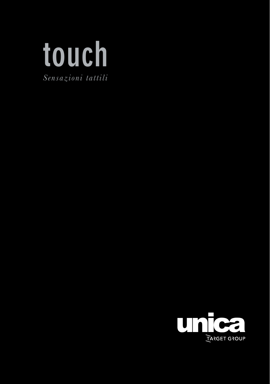

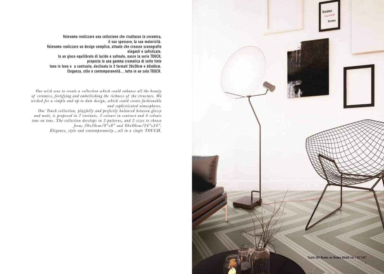

Volevamo realizzare una collezione che risaltasse la ceramica, il suo spessore, la sua matericità. Volevamo realizzare un design semplice, attuale che creasse scenografie eleganti e sofisticate. In un gioco equilibrato di lucido e satinato, nasce la serie TOUCH, proposta in una gamma cromatica di sette tinte tono in tono e a contrasto, declinata in 2 formati 20x20cm e 60x60cm.

Eleganza, stile e contemporaneità... tutto in un solo TOUCH.

*Our wish was to create a collection which could enhance all the beauty*  of ceramics, fortifying and embellishing the richness of the structure. We *wished for a simple and up to date design, which could create fashionable and sophisticated atmospheres.*

*Our Touch collection, playfully and perfectly balanced between glossy and matt, is proposed in 7 variants, 3 colours in contrast and 4 colours tone on tone. T he collection develops in 3 patter ns, and 2 sizes to choose from; 20x20cm/8"x8" and 60x60cm/24"x24". Elegance, style and contemporaneity…all in a single TOUCH.*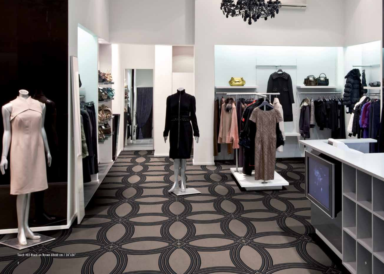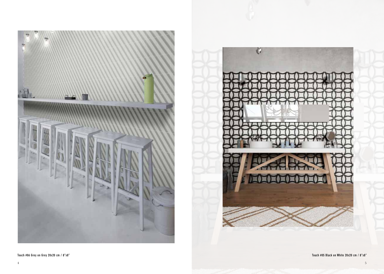

 $\ddot{\mathbf{v}}$ 

Touch #06 Grey on Grey 20x20 cm / 8"x8" Touch #05 Black on White 20x20 cm / 8"x8"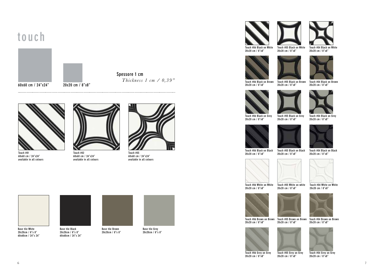## touch



Spessore 1 cm  *Thickness 1 cm / 0,39"*



Touch #01 60x60 cm / 24"x24" available in all colours



Touch #02 60x60 cm / 24"x24" available in all colours



Touch #03 60x60 cm / 24"x24" available in all colours

Base tile White 20x20cm / 8"x 8" 60x60cm / 24"x 24"





20x20cm / 8"x 8" 60x60cm / 24"x 24"



Base tile Grey 20x20cm / 8"x 8"





Touch #04 Black on White 20x20 cm / 8"x8"







Touch #06 Black on Brown 20x20 cm / 8"x8"

Touch #05 Black on Brown Touch #04 Black on Brown 20x20 cm / 8"x8" 20x20 cm / 8"x8"







Touch #06 Black on Grey 20x20 cm / 8"x8"

Touch #05 Black on Grey Touch #04 Black on Grey 20x20 cm / 8"x8"





20x20 cm / 8"x8"

20x20 cm / 8"x8"



20x20 cm / 8"x8"

Touch #06 Black on Black Touch #05 Black on Black Touch #04 Black on Black 20x20 cm / 8"x8"



Touch #06 White on White Touch #05 White on white 20x20 cm / 8"x8" 20x20 cm / 8"x8"

Touch #04 White on White 20x20 cm / 8"x8"





Touch #05 Grey on Grey 20x20 cm / 8"x8"

Touch #06 Brown on Brown Touch #05 Brown on Brown Touch #04 Brown on Brown 20x20 cm / 8"x8" 20x20 cm / 8"x8"





Touch #06 Grey on Grey 20x20 cm / 8"x8"

Touch #04 Grey on Grey 20x20 cm / 8"x8"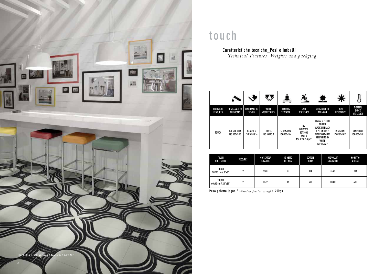

## touch

Caratteristiche tecniche\_Pesi e imballi  *Technical Features\_Weights and packging*

|                                     |                                          |                                       |                              | 혼                                      |                                                                | 壁                                                                                                                                            |                                  |                                                     |
|-------------------------------------|------------------------------------------|---------------------------------------|------------------------------|----------------------------------------|----------------------------------------------------------------|----------------------------------------------------------------------------------------------------------------------------------------------|----------------------------------|-----------------------------------------------------|
| <b>TECHNICAL</b><br><b>FEATURES</b> | <b>RESISTANCE TO</b><br><b>CHEMICALS</b> | <b>RESISTANCE TO</b><br><b>STAINS</b> | <b>WATER</b><br>ABSORPTION % | BENDING<br><b>STRENGTH</b>             | SKID<br>RESISTANCE                                             | <b>RESISTANCE TO</b><br>ABRASION                                                                                                             | <b>FROST</b><br>RESISTANCE       | <b>THERMAL</b><br><b>SHOCK</b><br><b>RESISTANCE</b> |
| <b>TOUCH</b>                        | <b>GA GLA GHA</b><br>ISO 10545.13        | <b>CLASSE 5</b><br>ISO 10545.14       | ≤0.5%<br>ISO 10545.3         | $>$ 35N/mm <sup>2</sup><br>ISO 10545.4 | R9<br><b>DIN 51130</b><br>B0T3000<br>ANSI A<br>137.1:2012>0.42 | <b>CLASSE 3 PEI ON</b><br>BROWN<br><b>BLACK ON BLACK</b><br>4 PEI ON GREY<br>BLACK ON WHITE<br>5 PEI WHITE ON<br><b>WHITE</b><br>ISO 10545-7 | <b>RESISTANT</b><br>ISO 10545.12 | RESISTANT<br>ISO 10545.9                            |

|  | <b>TOUCH</b><br>COLLECTION         | PEZZI/PCS | MQ/SCATOLA<br>SQM/BOX | <b>KG NETTO</b><br>NET KGS | SCATOLE<br>BOXES | <b>MO/PALLET</b><br>SQM/PALLET | KG NETTO<br>NET KGS |
|--|------------------------------------|-----------|-----------------------|----------------------------|------------------|--------------------------------|---------------------|
|  | <b>TOUCH</b><br>20X20 cm / 8"x8"   | 0         | 0,36                  | 8                          | 114              | 41.04                          | 912                 |
|  | <b>TOUCH</b><br>60x60 cm / 24"x24" | n         | 0,72                  | 17                         | 40               | 28,80                          | 680                 |

Peso paletta legno / *Wooden pallet weight* 22kgs